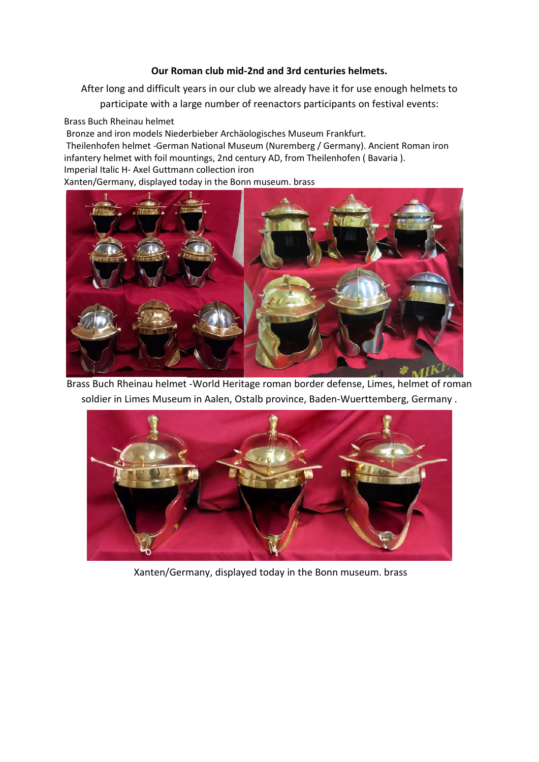## **Our Roman club mid-2nd and 3rd centuries helmets.**

After long and difficult years in our club we already have it for use enough helmets to

participate with a large number of reenactors participants on festival events:

Brass Buch Rheinau helmet

Bronze and iron models Niederbieber Archäologisches Museum Frankfurt. Theilenhofen helmet *-*German National Museum (Nuremberg / Germany). Ancient Roman iron infantery helmet with foil mountings, 2nd century AD, from Theilenhofen ( Bavaria ). Imperial Italic H- Axel Guttmann collection iron

Xanten/Germany, displayed today in the Bonn museum. brass



Brass Buch Rheinau helmet -World Heritage roman border defense, Limes, helmet of roman soldier in Limes Museum in Aalen, Ostalb province, Baden-Wuerttemberg, Germany .



Xanten/Germany, displayed today in the Bonn museum. brass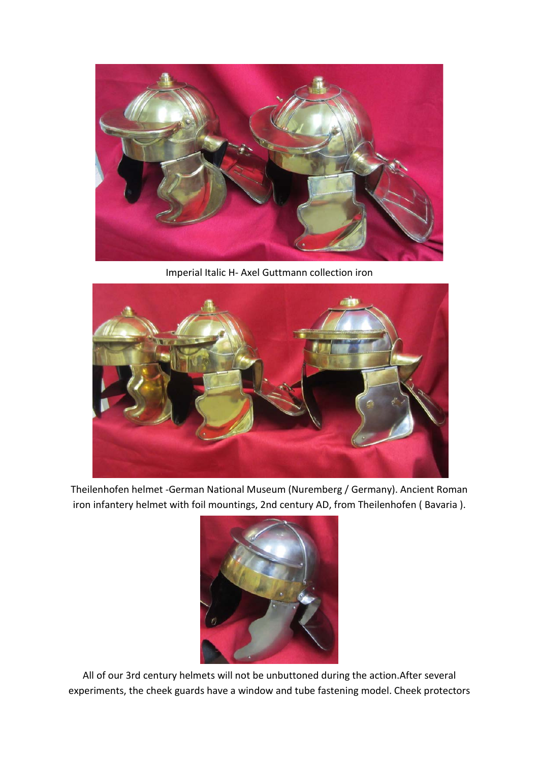

Imperial Italic H- Axel Guttmann collection iron



Theilenhofen helmet -German National Museum (Nuremberg / Germany). Ancient Roman iron infantery helmet with foil mountings, 2nd century AD, from Theilenhofen ( Bavaria ).



All of our 3rd century helmets will not be unbuttoned during the action.After several experiments, the cheek guards have a window and tube fastening model. Cheek protectors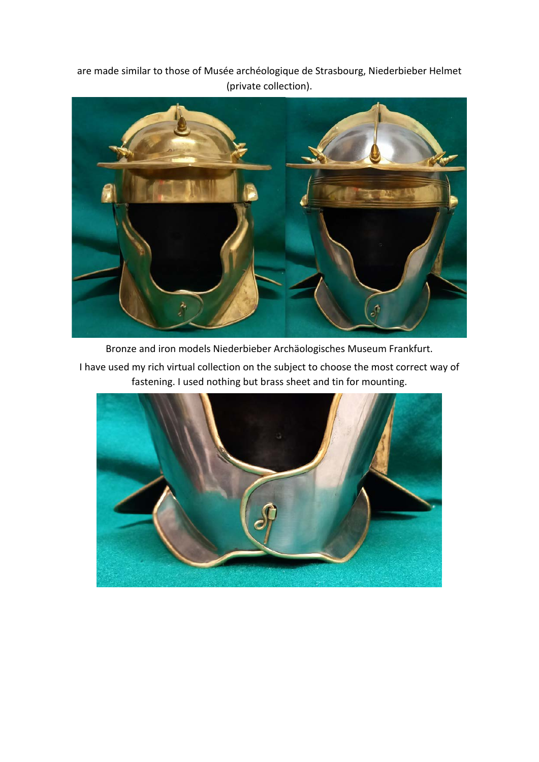are made similar to those of Musée archéologique de Strasbourg, Niederbieber Helmet (private collection).



Bronze and iron models Niederbieber Archäologisches Museum Frankfurt.

I have used my rich virtual collection on the subject to choose the most correct way of fastening. I used nothing but brass sheet and tin for mounting.